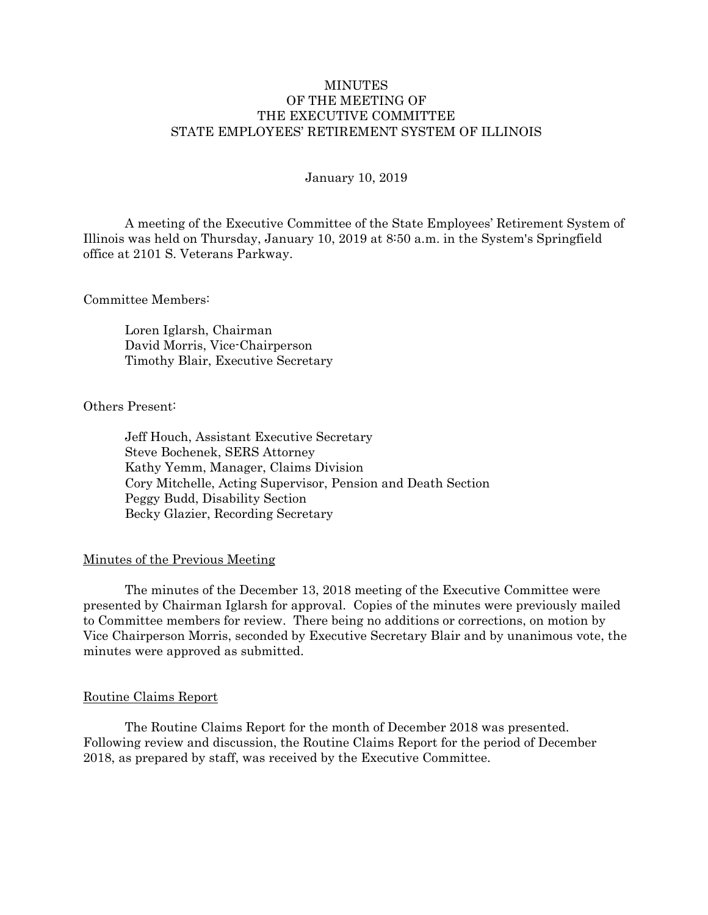# **MINUTES** OF THE MEETING OF THE EXECUTIVE COMMITTEE STATE EMPLOYEES' RETIREMENT SYSTEM OF ILLINOIS

## January 10, 2019

 A meeting of the Executive Committee of the State Employees' Retirement System of Illinois was held on Thursday, January 10, 2019 at 8:50 a.m. in the System's Springfield office at 2101 S. Veterans Parkway.

## Committee Members:

 Loren Iglarsh, Chairman David Morris, Vice-Chairperson Timothy Blair, Executive Secretary

# Others Present:

 Jeff Houch, Assistant Executive Secretary Steve Bochenek, SERS Attorney Kathy Yemm, Manager, Claims Division Cory Mitchelle, Acting Supervisor, Pension and Death Section Peggy Budd, Disability Section Becky Glazier, Recording Secretary

# Minutes of the Previous Meeting

 The minutes of the December 13, 2018 meeting of the Executive Committee were presented by Chairman Iglarsh for approval. Copies of the minutes were previously mailed to Committee members for review. There being no additions or corrections, on motion by Vice Chairperson Morris, seconded by Executive Secretary Blair and by unanimous vote, the minutes were approved as submitted.

# Routine Claims Report

 The Routine Claims Report for the month of December 2018 was presented. Following review and discussion, the Routine Claims Report for the period of December 2018, as prepared by staff, was received by the Executive Committee.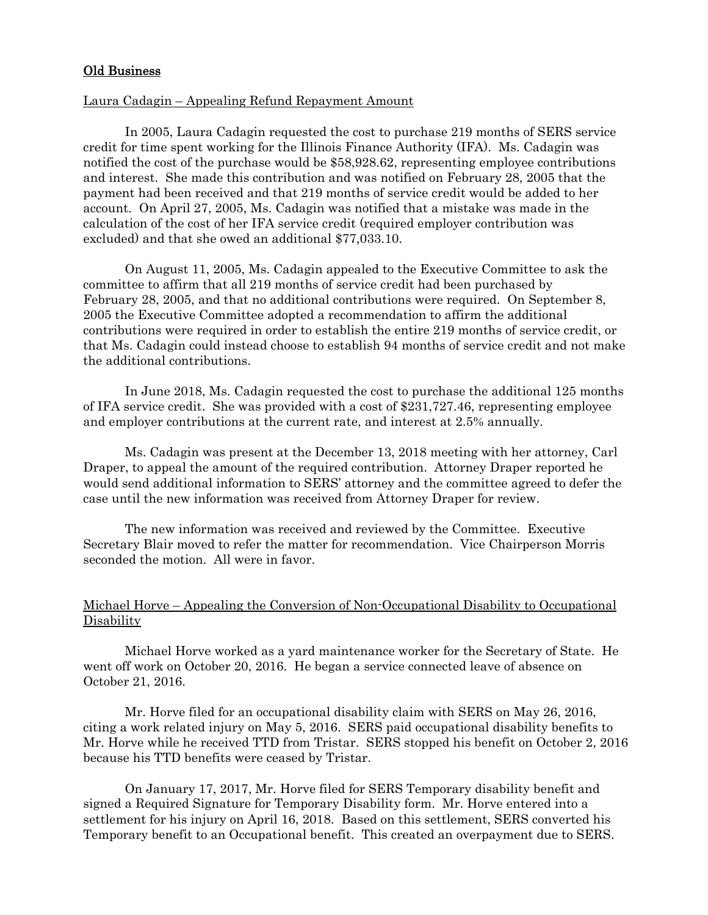# Old Business

# Laura Cadagin – Appealing Refund Repayment Amount

In 2005, Laura Cadagin requested the cost to purchase 219 months of SERS service credit for time spent working for the Illinois Finance Authority (IFA). Ms. Cadagin was notified the cost of the purchase would be \$58,928.62, representing employee contributions and interest. She made this contribution and was notified on February 28, 2005 that the payment had been received and that 219 months of service credit would be added to her account. On April 27, 2005, Ms. Cadagin was notified that a mistake was made in the calculation of the cost of her IFA service credit (required employer contribution was excluded) and that she owed an additional \$77,033.10.

On August 11, 2005, Ms. Cadagin appealed to the Executive Committee to ask the committee to affirm that all 219 months of service credit had been purchased by February 28, 2005, and that no additional contributions were required. On September 8, 2005 the Executive Committee adopted a recommendation to affirm the additional contributions were required in order to establish the entire 219 months of service credit, or that Ms. Cadagin could instead choose to establish 94 months of service credit and not make the additional contributions.

In June 2018, Ms. Cadagin requested the cost to purchase the additional 125 months of IFA service credit. She was provided with a cost of \$231,727.46, representing employee and employer contributions at the current rate, and interest at 2.5% annually.

Ms. Cadagin was present at the December 13, 2018 meeting with her attorney, Carl Draper, to appeal the amount of the required contribution. Attorney Draper reported he would send additional information to SERS' attorney and the committee agreed to defer the case until the new information was received from Attorney Draper for review.

The new information was received and reviewed by the Committee. Executive Secretary Blair moved to refer the matter for recommendation. Vice Chairperson Morris seconded the motion. All were in favor.

# Michael Horve – Appealing the Conversion of Non-Occupational Disability to Occupational **Disability**

 Michael Horve worked as a yard maintenance worker for the Secretary of State. He went off work on October 20, 2016. He began a service connected leave of absence on October 21, 2016.

 Mr. Horve filed for an occupational disability claim with SERS on May 26, 2016, citing a work related injury on May 5, 2016. SERS paid occupational disability benefits to Mr. Horve while he received TTD from Tristar. SERS stopped his benefit on October 2, 2016 because his TTD benefits were ceased by Tristar.

 On January 17, 2017, Mr. Horve filed for SERS Temporary disability benefit and signed a Required Signature for Temporary Disability form. Mr. Horve entered into a settlement for his injury on April 16, 2018. Based on this settlement, SERS converted his Temporary benefit to an Occupational benefit. This created an overpayment due to SERS.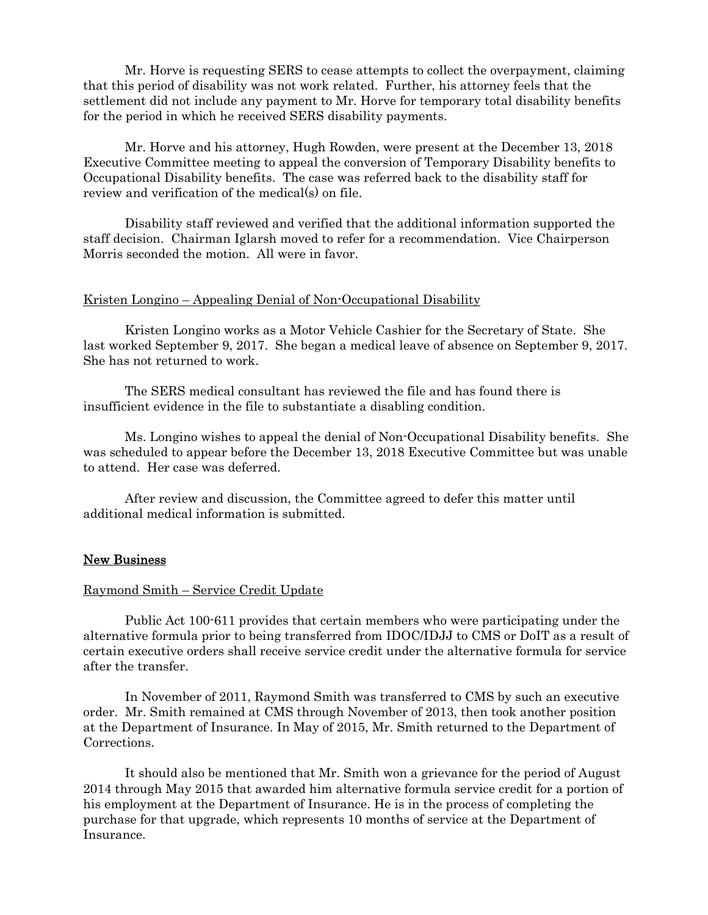Mr. Horve is requesting SERS to cease attempts to collect the overpayment, claiming that this period of disability was not work related. Further, his attorney feels that the settlement did not include any payment to Mr. Horve for temporary total disability benefits for the period in which he received SERS disability payments.

 Mr. Horve and his attorney, Hugh Rowden, were present at the December 13, 2018 Executive Committee meeting to appeal the conversion of Temporary Disability benefits to Occupational Disability benefits. The case was referred back to the disability staff for review and verification of the medical(s) on file.

Disability staff reviewed and verified that the additional information supported the staff decision. Chairman Iglarsh moved to refer for a recommendation. Vice Chairperson Morris seconded the motion. All were in favor.

### Kristen Longino – Appealing Denial of Non-Occupational Disability

 Kristen Longino works as a Motor Vehicle Cashier for the Secretary of State. She last worked September 9, 2017. She began a medical leave of absence on September 9, 2017. She has not returned to work.

 The SERS medical consultant has reviewed the file and has found there is insufficient evidence in the file to substantiate a disabling condition.

Ms. Longino wishes to appeal the denial of Non-Occupational Disability benefits. She was scheduled to appear before the December 13, 2018 Executive Committee but was unable to attend. Her case was deferred.

After review and discussion, the Committee agreed to defer this matter until additional medical information is submitted.

# New Business

## Raymond Smith – Service Credit Update

Public Act 100-611 provides that certain members who were participating under the alternative formula prior to being transferred from IDOC/IDJJ to CMS or DoIT as a result of certain executive orders shall receive service credit under the alternative formula for service after the transfer.

In November of 2011, Raymond Smith was transferred to CMS by such an executive order. Mr. Smith remained at CMS through November of 2013, then took another position at the Department of Insurance. In May of 2015, Mr. Smith returned to the Department of Corrections.

It should also be mentioned that Mr. Smith won a grievance for the period of August 2014 through May 2015 that awarded him alternative formula service credit for a portion of his employment at the Department of Insurance. He is in the process of completing the purchase for that upgrade, which represents 10 months of service at the Department of Insurance.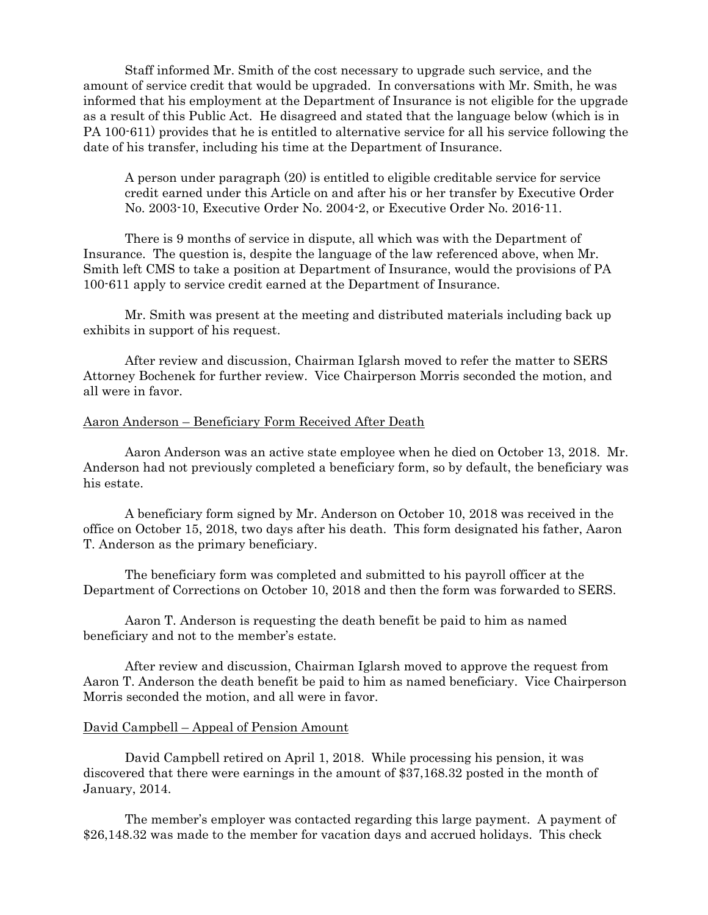Staff informed Mr. Smith of the cost necessary to upgrade such service, and the amount of service credit that would be upgraded. In conversations with Mr. Smith, he was informed that his employment at the Department of Insurance is not eligible for the upgrade as a result of this Public Act. He disagreed and stated that the language below (which is in PA 100-611) provides that he is entitled to alternative service for all his service following the date of his transfer, including his time at the Department of Insurance.

 A person under paragraph (20) is entitled to eligible creditable service for service credit earned under this Article on and after his or her transfer by Executive Order No. 2003-10, Executive Order No. 2004-2, or Executive Order No. 2016-11.

There is 9 months of service in dispute, all which was with the Department of Insurance. The question is, despite the language of the law referenced above, when Mr. Smith left CMS to take a position at Department of Insurance, would the provisions of PA 100-611 apply to service credit earned at the Department of Insurance.

Mr. Smith was present at the meeting and distributed materials including back up exhibits in support of his request.

After review and discussion, Chairman Iglarsh moved to refer the matter to SERS Attorney Bochenek for further review. Vice Chairperson Morris seconded the motion, and all were in favor.

## Aaron Anderson – Beneficiary Form Received After Death

 Aaron Anderson was an active state employee when he died on October 13, 2018. Mr. Anderson had not previously completed a beneficiary form, so by default, the beneficiary was his estate.

 A beneficiary form signed by Mr. Anderson on October 10, 2018 was received in the office on October 15, 2018, two days after his death. This form designated his father, Aaron T. Anderson as the primary beneficiary.

 The beneficiary form was completed and submitted to his payroll officer at the Department of Corrections on October 10, 2018 and then the form was forwarded to SERS.

 Aaron T. Anderson is requesting the death benefit be paid to him as named beneficiary and not to the member's estate.

After review and discussion, Chairman Iglarsh moved to approve the request from Aaron T. Anderson the death benefit be paid to him as named beneficiary. Vice Chairperson Morris seconded the motion, and all were in favor.

# David Campbell – Appeal of Pension Amount

 David Campbell retired on April 1, 2018. While processing his pension, it was discovered that there were earnings in the amount of \$37,168.32 posted in the month of January, 2014.

 The member's employer was contacted regarding this large payment. A payment of \$26,148.32 was made to the member for vacation days and accrued holidays. This check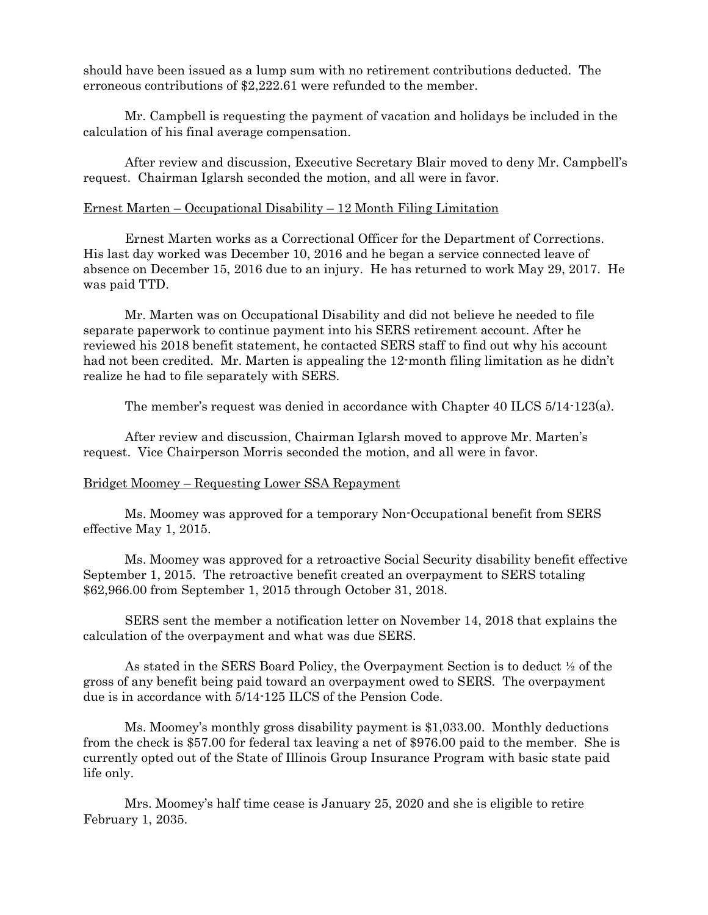should have been issued as a lump sum with no retirement contributions deducted. The erroneous contributions of \$2,222.61 were refunded to the member.

 Mr. Campbell is requesting the payment of vacation and holidays be included in the calculation of his final average compensation.

After review and discussion, Executive Secretary Blair moved to deny Mr. Campbell's request. Chairman Iglarsh seconded the motion, and all were in favor.

# Ernest Marten – Occupational Disability – 12 Month Filing Limitation

 Ernest Marten works as a Correctional Officer for the Department of Corrections. His last day worked was December 10, 2016 and he began a service connected leave of absence on December 15, 2016 due to an injury. He has returned to work May 29, 2017. He was paid TTD.

 Mr. Marten was on Occupational Disability and did not believe he needed to file separate paperwork to continue payment into his SERS retirement account. After he reviewed his 2018 benefit statement, he contacted SERS staff to find out why his account had not been credited. Mr. Marten is appealing the 12-month filing limitation as he didn't realize he had to file separately with SERS.

The member's request was denied in accordance with Chapter 40 ILCS 5/14-123(a).

After review and discussion, Chairman Iglarsh moved to approve Mr. Marten's request. Vice Chairperson Morris seconded the motion, and all were in favor.

#### Bridget Moomey – Requesting Lower SSA Repayment

Ms. Moomey was approved for a temporary Non-Occupational benefit from SERS effective May 1, 2015.

 Ms. Moomey was approved for a retroactive Social Security disability benefit effective September 1, 2015. The retroactive benefit created an overpayment to SERS totaling \$62,966.00 from September 1, 2015 through October 31, 2018.

 SERS sent the member a notification letter on November 14, 2018 that explains the calculation of the overpayment and what was due SERS.

 As stated in the SERS Board Policy, the Overpayment Section is to deduct ½ of the gross of any benefit being paid toward an overpayment owed to SERS. The overpayment due is in accordance with 5/14-125 ILCS of the Pension Code.

 Ms. Moomey's monthly gross disability payment is \$1,033.00. Monthly deductions from the check is \$57.00 for federal tax leaving a net of \$976.00 paid to the member. She is currently opted out of the State of Illinois Group Insurance Program with basic state paid life only.

 Mrs. Moomey's half time cease is January 25, 2020 and she is eligible to retire February 1, 2035.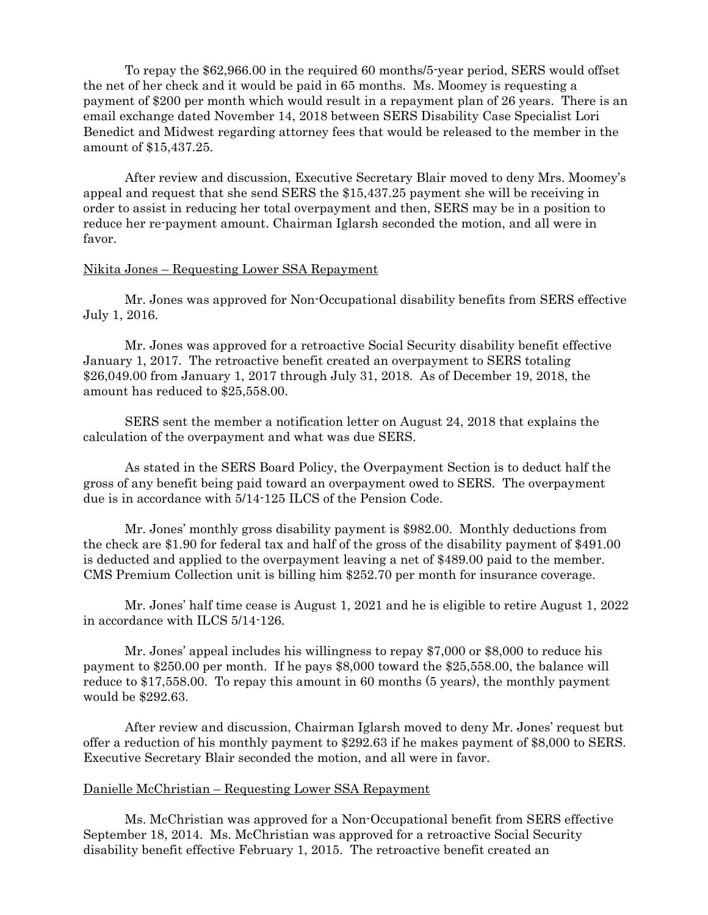To repay the \$62,966.00 in the required 60 months/5-year period, SERS would offset the net of her check and it would be paid in 65 months. Ms. Moomey is requesting a payment of \$200 per month which would result in a repayment plan of 26 years. There is an email exchange dated November 14, 2018 between SERS Disability Case Specialist Lori Benedict and Midwest regarding attorney fees that would be released to the member in the amount of \$15,437.25.

After review and discussion, Executive Secretary Blair moved to deny Mrs. Moomey's appeal and request that she send SERS the \$15,437.25 payment she will be receiving in order to assist in reducing her total overpayment and then, SERS may be in a position to reduce her re-payment amount. Chairman Iglarsh seconded the motion, and all were in favor.

## Nikita Jones – Requesting Lower SSA Repayment

 Mr. Jones was approved for Non-Occupational disability benefits from SERS effective July 1, 2016.

 Mr. Jones was approved for a retroactive Social Security disability benefit effective January 1, 2017. The retroactive benefit created an overpayment to SERS totaling \$26,049.00 from January 1, 2017 through July 31, 2018. As of December 19, 2018, the amount has reduced to \$25,558.00.

 SERS sent the member a notification letter on August 24, 2018 that explains the calculation of the overpayment and what was due SERS.

 As stated in the SERS Board Policy, the Overpayment Section is to deduct half the gross of any benefit being paid toward an overpayment owed to SERS. The overpayment due is in accordance with 5/14-125 ILCS of the Pension Code.

 Mr. Jones' monthly gross disability payment is \$982.00. Monthly deductions from the check are \$1.90 for federal tax and half of the gross of the disability payment of \$491.00 is deducted and applied to the overpayment leaving a net of \$489.00 paid to the member. CMS Premium Collection unit is billing him \$252.70 per month for insurance coverage.

 Mr. Jones' half time cease is August 1, 2021 and he is eligible to retire August 1, 2022 in accordance with ILCS 5/14-126.

 Mr. Jones' appeal includes his willingness to repay \$7,000 or \$8,000 to reduce his payment to \$250.00 per month. If he pays \$8,000 toward the \$25,558.00, the balance will reduce to \$17,558.00. To repay this amount in 60 months (5 years), the monthly payment would be \$292.63.

After review and discussion, Chairman Iglarsh moved to deny Mr. Jones' request but offer a reduction of his monthly payment to \$292.63 if he makes payment of \$8,000 to SERS. Executive Secretary Blair seconded the motion, and all were in favor.

#### Danielle McChristian – Requesting Lower SSA Repayment

 Ms. McChristian was approved for a Non-Occupational benefit from SERS effective September 18, 2014. Ms. McChristian was approved for a retroactive Social Security disability benefit effective February 1, 2015. The retroactive benefit created an